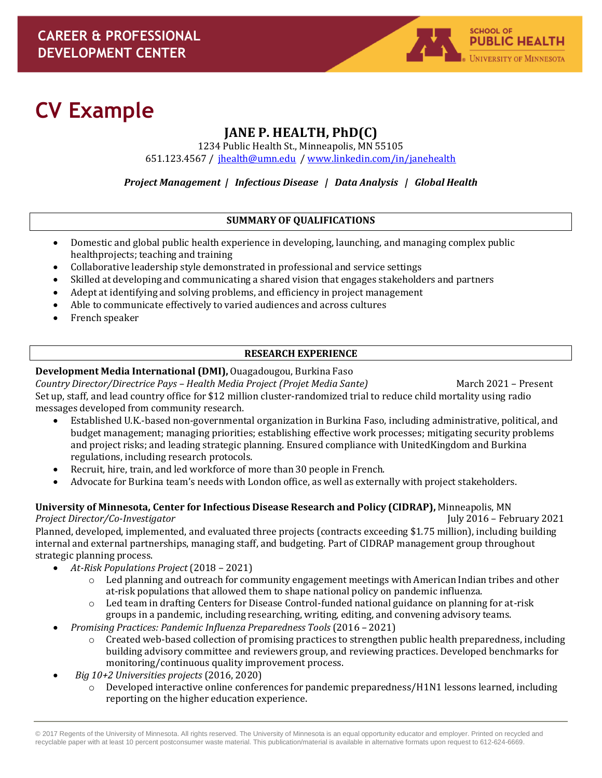

# **CV Example**

# **JANE P. HEALTH, PhD(C)**

1234 Public Health St., Minneapolis, MN 55105 651.123.4567 / [jhealth@umn.edu](mailto:jhealth@umn.edu) / [www.linkedin.com/in/janehealth](http://www.linkedin.com/in/janehealth)

*Project Management | Infectious Disease | Data Analysis | Global Health*

#### **SUMMARY OF QUALIFICATIONS**

- Domestic and global public health experience in developing, launching, and managing complex public healthprojects; teaching and training
- Collaborative leadership style demonstrated in professional and service settings
- Skilled at developing and communicating a shared vision that engages stakeholders and partners
- Adept at identifying and solving problems, and efficiency in project management
- Able to communicate effectively to varied audiences and across cultures
- French speaker

# **RESEARCH EXPERIENCE**

# **Development Media International (DMI),** Ouagadougou, Burkina Faso

*Country Director/Directrice Pays – Health Media Project (Projet Media Sante)* March 2021 – Present Set up, staff, and lead country office for \$12 million cluster-randomized trial to reduce child mortality using radio messages developed from community research.

- Established U.K.-based non-governmental organization in Burkina Faso, including administrative, political, and budget management; managing priorities; establishing effective work processes; mitigating security problems and project risks; and leading strategic planning. Ensured compliance with UnitedKingdom and Burkina regulations, including research protocols.
- Recruit, hire, train, and led workforce of more than 30 people in French.
- Advocate for Burkina team's needs with London office, as well as externally with project stakeholders.

**University of Minnesota, Center for Infectious Disease Research and Policy (CIDRAP),** Minneapolis, MN *Project Director/Co-Investigator* July 2016 – February 2021

Planned, developed, implemented, and evaluated three projects (contracts exceeding \$1.75 million), including building internal and external partnerships, managing staff, and budgeting. Part of CIDRAP management group throughout strategic planning process.

- *At-Risk Populations Project* (2018 2021)
	- o Led planning and outreach for community engagement meetings with American Indian tribes and other at-risk populations that allowed them to shape national policy on pandemic influenza.
	- o Led team in drafting Centers for Disease Control-funded national guidance on planning for at-risk groups in a pandemic, including researching, writing, editing, and convening advisory teams.
- *Promising Practices: Pandemic Influenza Preparedness Tools* (2016 2021)
	- o Created web-based collection of promising practices to strengthen public health preparedness, including building advisory committee and reviewers group, and reviewing practices. Developed benchmarks for monitoring/continuous quality improvement process.
- *Big 10+2 Universities projects* (2016, 2020)
	- o Developed interactive online conferences for pandemic preparedness/H1N1 lessons learned, including reporting on the higher education experience.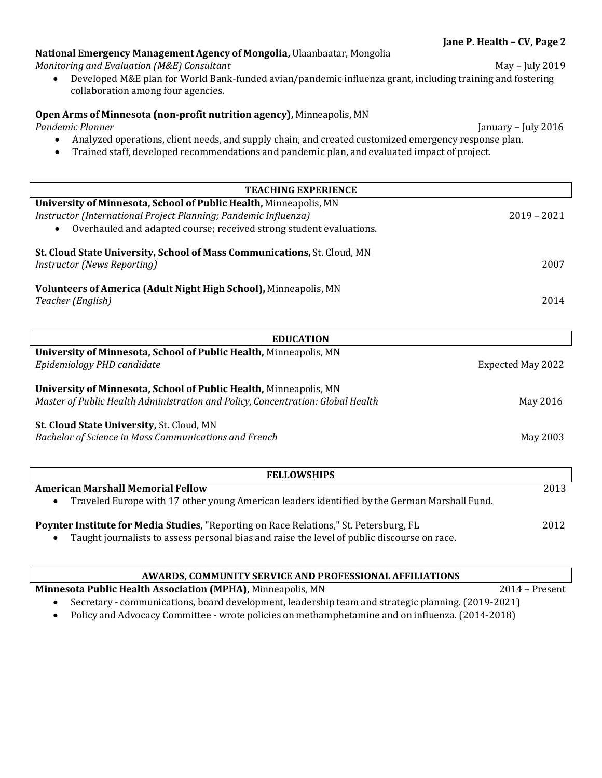| <b>TEACHING EXPERIENCE</b>                                                                                                                           |                   |  |  |
|------------------------------------------------------------------------------------------------------------------------------------------------------|-------------------|--|--|
| University of Minnesota, School of Public Health, Minneapolis, MN                                                                                    |                   |  |  |
| Instructor (International Project Planning; Pandemic Influenza)<br>Overhauled and adapted course; received strong student evaluations.<br>$\bullet$  | $2019 - 2021$     |  |  |
| St. Cloud State University, School of Mass Communications, St. Cloud, MN<br>Instructor (News Reporting)                                              | 2007              |  |  |
| Volunteers of America (Adult Night High School), Minneapolis, MN<br>Teacher (English)                                                                | 2014              |  |  |
| <b>EDUCATION</b>                                                                                                                                     |                   |  |  |
| University of Minnesota, School of Public Health, Minneapolis, MN                                                                                    |                   |  |  |
| Epidemiology PHD candidate                                                                                                                           | Expected May 2022 |  |  |
| University of Minnesota, School of Public Health, Minneapolis, MN<br>Master of Public Health Administration and Policy, Concentration: Global Health | May 2016          |  |  |

*Monitoring and Evaluation (M&E) Consultant* May – July 2019 • Developed M&E plan for World Bank-funded avian/pandemic influenza grant, including training and fostering

*Pandemic Planner* January – July 2016 • Analyzed operations, client needs, and supply chain, and created customized emergency response plan.

• Trained staff, developed recommendations and pandemic plan, and evaluated impact of project.

**National Emergency Management Agency of Mongolia,** Ulaanbaatar, Mongolia

**Open Arms of Minnesota (non-profit nutrition agency),** Minneapolis, MN

collaboration among four agencies.

#### **St. Cloud State University,** St. Cloud, MN

*Bachelor of Science in Mass Communications and French* Manuscular Manuscular May 2003

| <b>FELLOWSHIPS</b>                                                                                                                                                                                 |      |  |
|----------------------------------------------------------------------------------------------------------------------------------------------------------------------------------------------------|------|--|
| <b>American Marshall Memorial Fellow</b>                                                                                                                                                           | 2013 |  |
| Traveled Europe with 17 other young American leaders identified by the German Marshall Fund.<br>$\bullet$                                                                                          |      |  |
| Poynter Institute for Media Studies, "Reporting on Race Relations," St. Petersburg, FL<br>Taught journalists to assess personal bias and raise the level of public discourse on race.<br>$\bullet$ | 2012 |  |

| AWARDS, COMMUNITY SERVICE AND PROFESSIONAL AFFILIATIONS                         |                                                                                                    |  |  |
|---------------------------------------------------------------------------------|----------------------------------------------------------------------------------------------------|--|--|
| Minnesota Public Health Association (MPHA), Minneapolis, MN<br>$2014$ – Present |                                                                                                    |  |  |
|                                                                                 | Secretary - communications, board development, leadership team and strategic planning. (2019-2021) |  |  |
|                                                                                 | Policy and Advocacy Committee - wrote policies on methamphetamine and on influenza. (2014-2018)    |  |  |